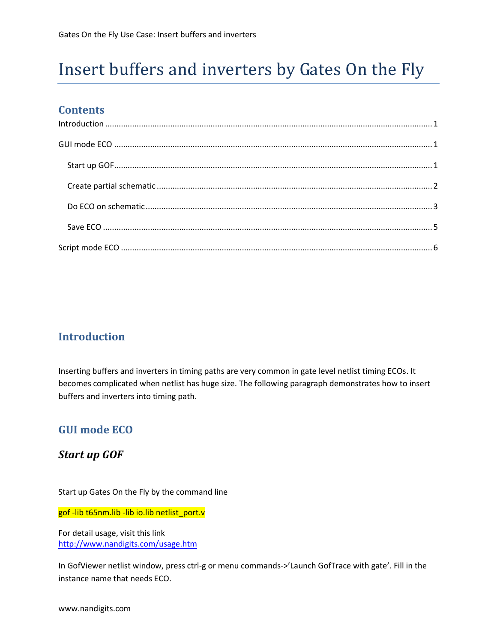# Insert buffers and inverters by Gates On the Fly

## **Contents**

| $\label{eq:1} \mbox{Introduction} \,\, \ldots \,\, \ldots \,\, \ldots \,\, \ldots \,\, \ldots \,\, \ldots \,\, \ldots \,\, \ldots \,\, \ldots \,\, \ldots \,\, \ldots \,\, \ldots \,\, \ldots \,\, \ldots \,\, \ldots \,\, \ldots \,\, \ldots \,\, \ldots \,\, \ldots \,\, \ldots \,\, \ldots \,\, \ldots \,\, \ldots \,\, \ldots \,\, \ldots \,\, \ldots \,\, \ldots \,\, \ldots \,\, \ldots \,\, \ldots \,\, \ldots \,\, \ldots \,\, \ldots \,\, \ldots \,\,$ |  |
|-----------------------------------------------------------------------------------------------------------------------------------------------------------------------------------------------------------------------------------------------------------------------------------------------------------------------------------------------------------------------------------------------------------------------------------------------------------------|--|
|                                                                                                                                                                                                                                                                                                                                                                                                                                                                 |  |
|                                                                                                                                                                                                                                                                                                                                                                                                                                                                 |  |
|                                                                                                                                                                                                                                                                                                                                                                                                                                                                 |  |
|                                                                                                                                                                                                                                                                                                                                                                                                                                                                 |  |
|                                                                                                                                                                                                                                                                                                                                                                                                                                                                 |  |
|                                                                                                                                                                                                                                                                                                                                                                                                                                                                 |  |
|                                                                                                                                                                                                                                                                                                                                                                                                                                                                 |  |
|                                                                                                                                                                                                                                                                                                                                                                                                                                                                 |  |
|                                                                                                                                                                                                                                                                                                                                                                                                                                                                 |  |

## <span id="page-0-0"></span>**Introduction**

Inserting buffers and inverters in timing paths are very common in gate level netlist timing ECOs. It becomes complicated when netlist has huge size. The following paragraph demonstrates how to insert buffers and inverters into timing path.

# <span id="page-0-1"></span>**GUI mode ECO**

#### <span id="page-0-2"></span>*Start up GOF*

Start up Gates On the Fly by the command line

gof -lib t65nm.lib -lib io.lib netlist\_port.v

For detail usage, visit this link <http://www.nandigits.com/usage.htm>

In GofViewer netlist window, press ctrl-g or menu commands->'Launch GofTrace with gate'. Fill in the instance name that needs ECO.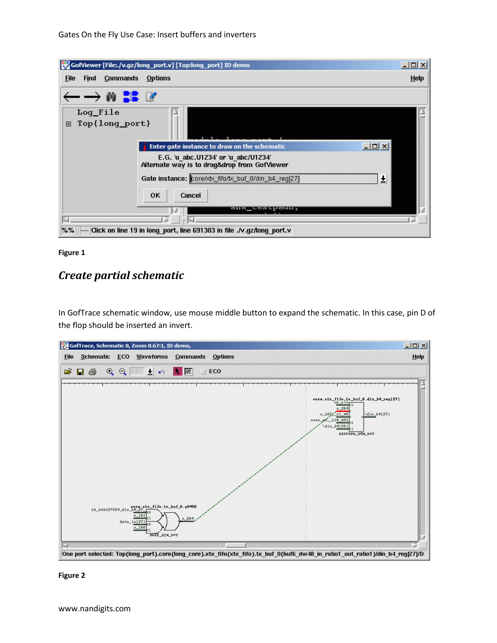| GofViewer [File: /v.gz/long_port.v] [Top:long_port] ID demo                         | $ \Box$ $\times$ |  |  |  |
|-------------------------------------------------------------------------------------|------------------|--|--|--|
| <b>Commands</b><br><b>Options</b><br><b>Find</b><br><b>File</b>                     | <b>Help</b>      |  |  |  |
| $-\rightarrow$ M $\frac{2}{36}$ M                                                   |                  |  |  |  |
| Loq_File<br>Top(long_port)<br>田                                                     |                  |  |  |  |
| $ \Box$ $\times$<br>Enter gate instance to draw on the schematic                    |                  |  |  |  |
| E.G. 'u abc.U1234' or 'u abc/U1234'<br>Alternate way is to drag&drop from GofViewer |                  |  |  |  |
| Gate instance: core/xtx_fifo/tx_buf_0/din_b4_reg[27]<br>土                           |                  |  |  |  |
| <b>OK</b><br>Cancel                                                                 |                  |  |  |  |
| ana_ccscpaun,                                                                       |                  |  |  |  |
| $% \%$<br>--- Click on line 19 in long port, line 691303 in file ./v.gz/long port.v |                  |  |  |  |



# <span id="page-1-0"></span>*Create partial schematic*

In GofTrace schematic window, use mouse middle button to expand the schematic. In this case, pin D of the flop should be inserted an invert.



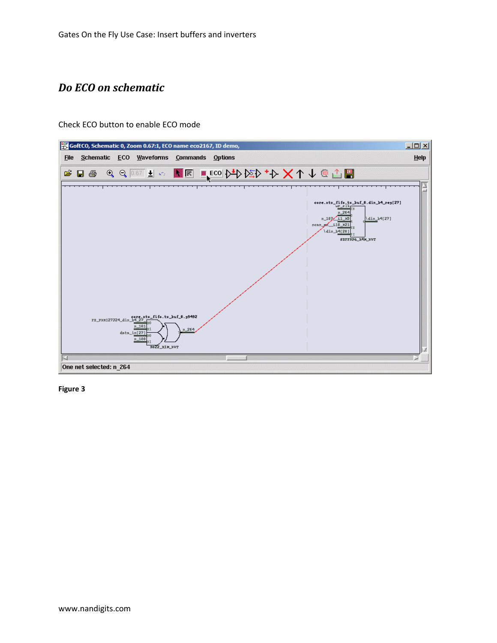# <span id="page-2-0"></span>*Do ECO on schematic*

Check ECO button to enable ECO mode



**Figure 3**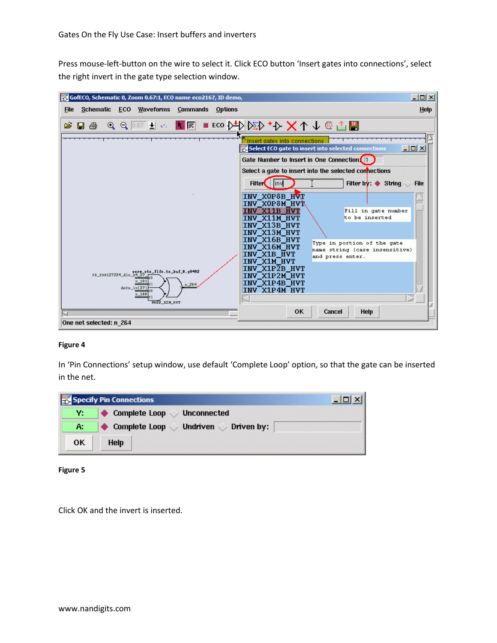Press mouse-left-button on the wire to select it. Click ECO button 'Insert gates into connections', select the right invert in the gate type selection window.

| GofECO, Schematic 0, Zoom 0.67:1, ECO name eco2167, ID demo,                                                                                                                                                                                                                                                                                                                                                                                            | $-10x$                                                                                                                                                                                                                                                                                                                                                                                                                                                                                                                                                                                                                                                              |
|---------------------------------------------------------------------------------------------------------------------------------------------------------------------------------------------------------------------------------------------------------------------------------------------------------------------------------------------------------------------------------------------------------------------------------------------------------|---------------------------------------------------------------------------------------------------------------------------------------------------------------------------------------------------------------------------------------------------------------------------------------------------------------------------------------------------------------------------------------------------------------------------------------------------------------------------------------------------------------------------------------------------------------------------------------------------------------------------------------------------------------------|
| Schematic ECO Waveforms<br><b>Commands Options</b><br><b>File</b>                                                                                                                                                                                                                                                                                                                                                                                       | Help                                                                                                                                                                                                                                                                                                                                                                                                                                                                                                                                                                                                                                                                |
| $\text{Re} \otimes \text{Im} \; \text{Im} \; \text{Im} \; \text{Im} \; \text{Im} \; \text{Im} \; \text{Im} \; \text{Im} \; \text{Im} \; \text{Im} \; \text{Im} \; \text{Im} \; \text{Im} \; \text{Im} \; \text{Im} \; \text{Im} \; \text{Im} \; \text{Im} \; \text{Im} \; \text{Im} \; \text{Im} \; \text{Im} \; \text{Im} \; \text{Im} \; \text{Im} \; \text{Im} \; \text{Im} \; \text{Im} \; \text{Im} \; \text{Im} \; \text$<br>œ<br>$\Box$ $\oplus$ |                                                                                                                                                                                                                                                                                                                                                                                                                                                                                                                                                                                                                                                                     |
| n_181<br>$n_{264}$<br>data_in[27]<br>$n_1$ 180<br><b>ROZZ_XIM_HVT</b><br>One net selected: n 264                                                                                                                                                                                                                                                                                                                                                        | Insert gates into connections<br>$\Box$<br>Select ECO gate to insert into selected connections<br>Gate Number to Insert in One Connection<br>Select a gate to insert into the selected connections<br><b>Filter</b><br>Filter by $\bullet$ String<br><b>File</b><br>linvl<br>INV_X0P8B_HVT<br>INV_XOP8M_HVR<br>INV X11B HVT<br>Fill in gate number<br>to be inserted<br>INV X11M HVT<br>INV_X13B_HVT<br>INV X13M HVT<br>INV X16B HVT<br>Type in portion of the gate<br>INV X16M HVT<br>name string (case insensitive)<br>INV X1B HVT<br>and press enter.<br>INV_X1M_HVT<br>INV X1P2B HVT<br>INV X1P2M HVT<br>INV X1P4B HVT<br>INV X1P4M HVT<br>OK<br>Cancel<br>Help |

#### **Figure 4**

In 'Pin Connections' setup window, use default 'Complete Loop' option, so that the gate can be inserted in the net.



**Figure 5**

Click OK and the invert is inserted.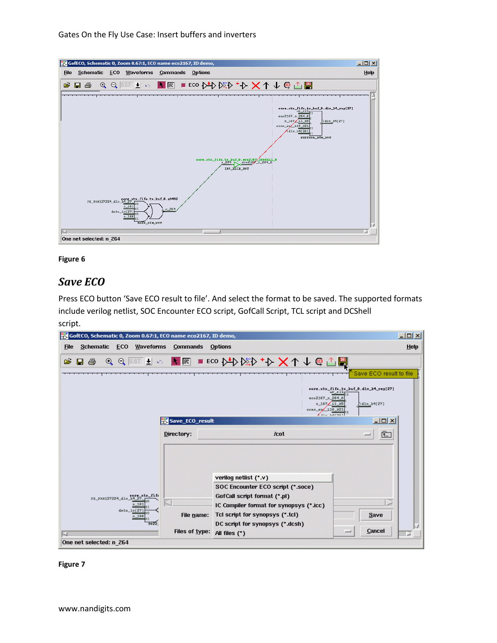Gates On the Fly Use Case: Insert buffers and inverters



#### **Figure 6**

#### <span id="page-4-0"></span>*Save ECO*

Press ECO button 'Save ECO result to file'. And select the format to be saved. The supported formats include verilog netlist, SOC Encounter ECO script, GofCall Script, TCL script and DCShell



**Figure 7**